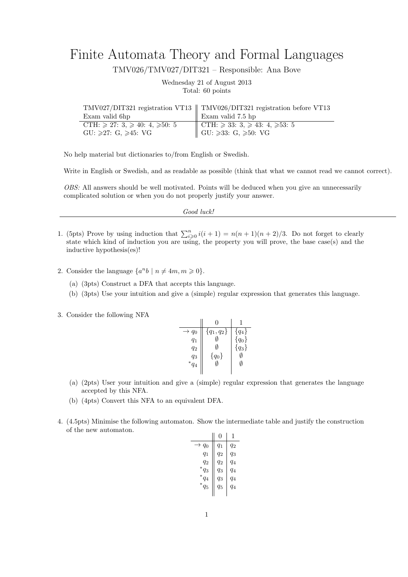## Finite Automata Theory and Formal Languages

TMV026/TMV027/DIT321 – Responsible: Ana Bove

Wednesday 21 of August 2013 Total: 60 points

|                                                  | TMV027/DIT321 registration VT13    TMV026/DIT321 registration before VT13 |
|--------------------------------------------------|---------------------------------------------------------------------------|
| Exam valid 6hp                                   | Exam valid 7.5 hp                                                         |
| CTH: $\geq 27$ : 3, $\geq 40$ : 4, $\geq 50$ : 5 |                                                                           |
| $GU: \geqslant 27: G, \geqslant 45: VG$          | CTH: ≥ 33: 3, ≥ 43: 4, ≥53: 5<br>GU: ≥33: G, ≥50: VG                      |

No help material but dictionaries to/from English or Swedish.

Write in English or Swedish, and as readable as possible (think that what we cannot read we cannot correct).

OBS: All answers should be well motivated. Points will be deduced when you give an unnecessarily complicated solution or when you do not properly justify your answer.

| Good luck! |  |
|------------|--|
|------------|--|

- 1. (5pts) Prove by using induction that  $\sum_{i\geqslant 0}^n i(i + 1) = n(n + 1)(n + 2)/3$ . Do not forget to clearly state which kind of induction you are using, the property you will prove, the base case(s) and the inductive hypothesis(es)!
- 2. Consider the language  $\{a^n b \mid n \neq 4m, m \geq 0\}.$ 
	- (a) (3pts) Construct a DFA that accepts this language.
	- (b) (3pts) Use your intuition and give a (simple) regular expression that generates this language.
- 3. Consider the following NFA

| $\rightarrow q_0$ | ${q_1, q_2}$ | ${q_4}$   |
|-------------------|--------------|-----------|
| $q_1$             |              | $\{q_0\}$ |
| $q_2$             | M            | ${q_3}$   |
| $q_3$             | $\{q_0\}$    |           |
| $\ast$<br>$q_4$   |              |           |
|                   |              |           |

- (a) (2pts) User your intuition and give a (simple) regular expression that generates the language accepted by this NFA.
- (b) (4pts) Convert this NFA to an equivalent DFA.
- 4. (4.5pts) Minimise the following automaton. Show the intermediate table and justify the construction of the new automaton.

|                   | 0     | 1     |
|-------------------|-------|-------|
| $\rightarrow q_0$ | $q_1$ | q2    |
| $q_1$             | $q_2$ | $q_3$ |
| $q_2$             | $q_2$ | $q_4$ |
| ${}^*q_3$         | $q_3$ | $q_4$ |
| ${}^*q_4$         | $q_3$ | $q_4$ |
| $^*q_5$           | $q_5$ | $q_4$ |
|                   |       |       |